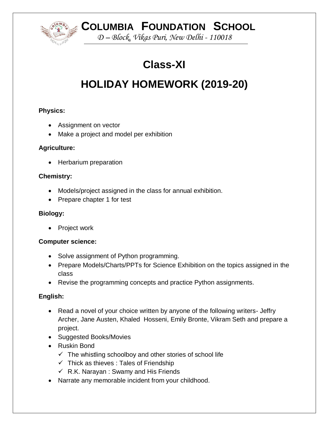**COLUMBIA FOUNDATION SCHOOL**

*D – Block, Vikas Puri, New Delhi - 110018*

# **Class-XI**

# **HOLIDAY HOMEWORK (2019-20)**

## **Physics:**

- Assignment on vector
- Make a project and model per exhibition

## **Agriculture:**

• Herbarium preparation

## **Chemistry:**

- Models/project assigned in the class for annual exhibition.
- Prepare chapter 1 for test

## **Biology:**

• Project work

## **Computer science:**

- Solve assignment of Python programming.
- Prepare Models/Charts/PPTs for Science Exhibition on the topics assigned in the class
- Revise the programming concepts and practice Python assignments.

# **English:**

- Read a novel of your choice written by anyone of the following writers- Jeffry Archer, Jane Austen, Khaled Hosseni, Emily Bronte, Vikram Seth and prepare a project.
- Suggested Books/Movies
- Ruskin Bond
	- $\checkmark$  The whistling schoolboy and other stories of school life
	- $\checkmark$  Thick as thieves : Tales of Friendship
	- $\checkmark$  R.K. Narayan : Swamy and His Friends
- Narrate any memorable incident from your childhood.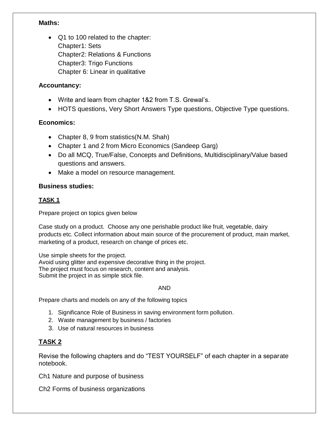#### **Maths:**

 Q1 to 100 related to the chapter: Chapter1: Sets Chapter2: Relations & Functions Chapter3: Trigo Functions Chapter 6: Linear in qualitative

#### **Accountancy:**

- Write and learn from chapter 1&2 from T.S. Grewal's.
- HOTS questions, Very Short Answers Type questions, Objective Type questions.

#### **Economics:**

- Chapter 8, 9 from statistics(N.M. Shah)
- Chapter 1 and 2 from Micro Economics (Sandeep Garg)
- Do all MCQ, True/False, Concepts and Definitions, Multidisciplinary/Value based questions and answers.
- Make a model on resource management.

#### **Business studies:**

#### **TASK 1**

Prepare project on topics given below

Case study on a product. Choose any one perishable product like fruit, vegetable, dairy products etc. Collect information about main source of the procurement of product, main market, marketing of a product, research on change of prices etc.

Use simple sheets for the project. Avoid using glitter and expensive decorative thing in the project. The project must focus on research, content and analysis. Submit the project in as simple stick file.

#### AND

Prepare charts and models on any of the following topics

- 1. Significance Role of Business in saving environment form pollution.
- 2. Waste management by business / factories
- 3. Use of natural resources in business

## **TASK 2**

Revise the following chapters and do "TEST YOURSELF" of each chapter in a separate notebook.

Ch1 Nature and purpose of business

Ch2 Forms of business organizations